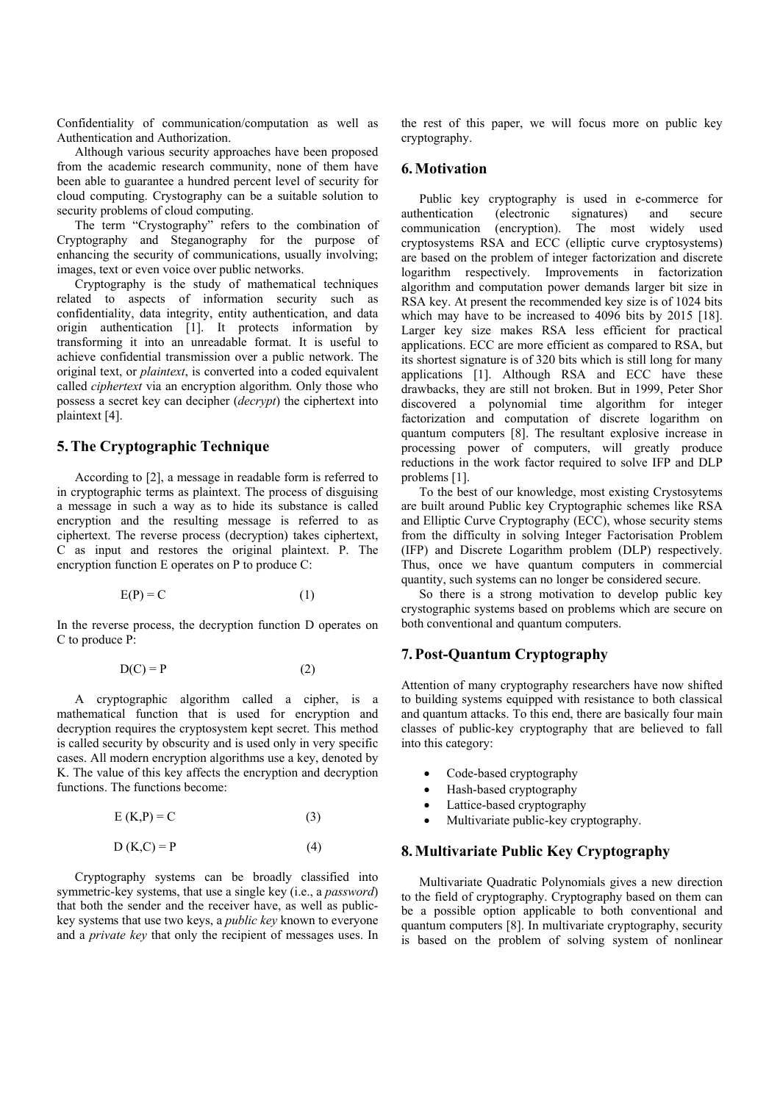Confidentiality of communication/computation as well as Authentication and Authorization.

Although various security approaches have been proposed from the academic research community, none of them have been able to guarantee a hundred percent level of security for cloud computing. Crystography can be a suitable solution to security problems of cloud computing.

The term "Crystography" refers to the combination of Cryptography and Steganography for the purpose of enhancing the security of communications, usually involving; images, text or even voice over public networks.

Cryptography is the study of mathematical techniques related to aspects of information security such as confidentiality, data integrity, entity authentication, and data origin authentication [1]. It protects information by transforming it into an unreadable format. It is useful to achieve confidential transmission over a public network. The original text, or *plaintext*, is converted into a coded equivalent called *ciphertext* via an encryption algorithm. Only those who possess a secret key can decipher (*decrypt*) the ciphertext into plaintext [4].

# **5.The Cryptographic Technique**

According to [2], a message in readable form is referred to in cryptographic terms as plaintext. The process of disguising a message in such a way as to hide its substance is called encryption and the resulting message is referred to as ciphertext. The reverse process (decryption) takes ciphertext, C as input and restores the original plaintext. P. The encryption function E operates on P to produce C:

$$
E(P) = C \tag{1}
$$

In the reverse process, the decryption function D operates on C to produce P:

$$
D(C) = P \tag{2}
$$

A cryptographic algorithm called a cipher, is a mathematical function that is used for encryption and decryption requires the cryptosystem kept secret. This method is called security by obscurity and is used only in very specific cases. All modern encryption algorithms use a key, denoted by K. The value of this key affects the encryption and decryption functions. The functions become:

$$
E(K,P) = C \tag{3}
$$

$$
D (K, C) = P \tag{4}
$$

Cryptography systems can be broadly classified into symmetric-key systems, that use a single key (i.e., a *password*) that both the sender and the receiver have, as well as publickey systems that use two keys, a *public key* known to everyone and a *private key* that only the recipient of messages uses. In

the rest of this paper, we will focus more on public key cryptography.

## **6.Motivation**

Public key cryptography is used in e-commerce for authentication (electronic signatures) and secure communication (encryption). The most widely used cryptosystems RSA and ECC (elliptic curve cryptosystems) are based on the problem of integer factorization and discrete logarithm respectively. Improvements in factorization algorithm and computation power demands larger bit size in RSA key. At present the recommended key size is of 1024 bits which may have to be increased to 4096 bits by 2015 [18]. Larger key size makes RSA less efficient for practical applications. ECC are more efficient as compared to RSA, but its shortest signature is of 320 bits which is still long for many applications [1]. Although RSA and ECC have these drawbacks, they are still not broken. But in 1999, Peter Shor discovered a polynomial time algorithm for integer factorization and computation of discrete logarithm on quantum computers [8]. The resultant explosive increase in processing power of computers, will greatly produce reductions in the work factor required to solve IFP and DLP problems [1].

To the best of our knowledge, most existing Crystosytems are built around Public key Cryptographic schemes like RSA and Elliptic Curve Cryptography (ECC), whose security stems from the difficulty in solving Integer Factorisation Problem (IFP) and Discrete Logarithm problem (DLP) respectively. Thus, once we have quantum computers in commercial quantity, such systems can no longer be considered secure.

So there is a strong motivation to develop public key crystographic systems based on problems which are secure on both conventional and quantum computers.

# **7.Post-Quantum Cryptography**

Attention of many cryptography researchers have now shifted to building systems equipped with resistance to both classical and quantum attacks. To this end, there are basically four main classes of public-key cryptography that are believed to fall into this category:

- Code-based cryptography
- Hash-based cryptography
- Lattice-based cryptography
- Multivariate public-key cryptography.

# **8.Multivariate Public Key Cryptography**

Multivariate Quadratic Polynomials gives a new direction to the field of cryptography. Cryptography based on them can be a possible option applicable to both conventional and quantum computers [8]. In multivariate cryptography, security is based on the problem of solving system of nonlinear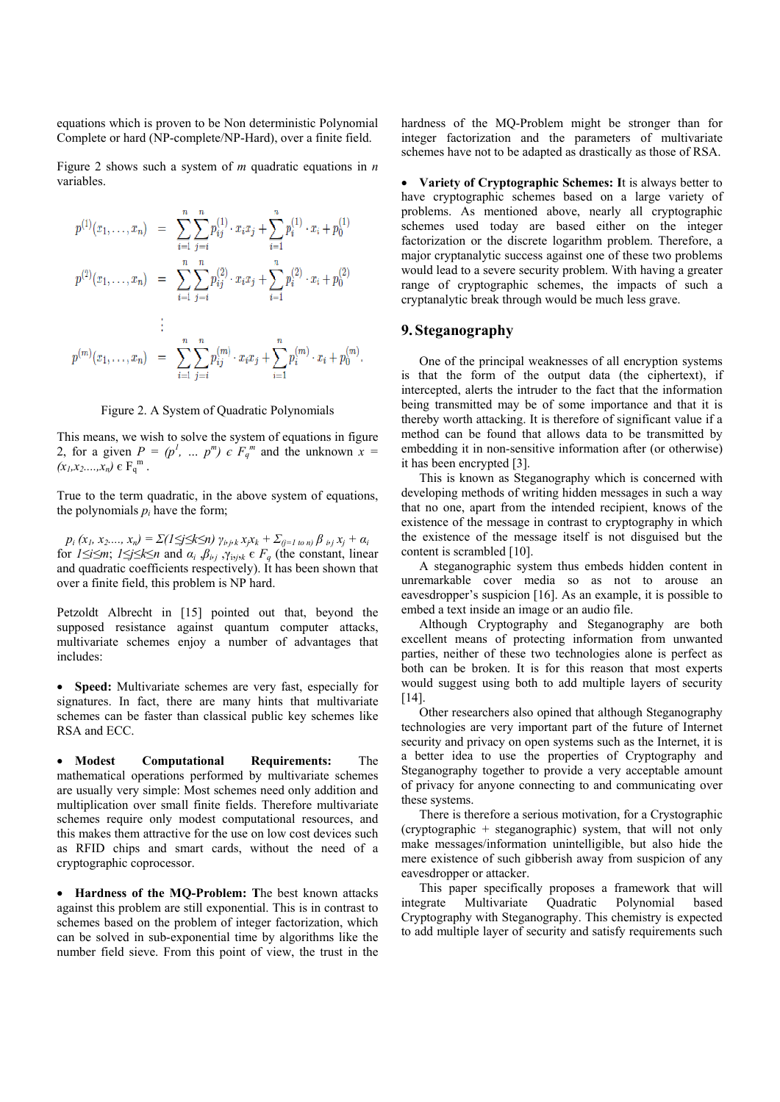equations which is proven to be Non deterministic Polynomial Complete or hard (NP-complete/NP-Hard), over a finite field.

Figure 2 shows such a system of *m* quadratic equations in *n* variables.

$$
p^{(1)}(x_1, \ldots, x_n) = \sum_{i=1}^n \sum_{j=i}^n p_{ij}^{(1)} \cdot x_i x_j + \sum_{i=1}^n p_i^{(1)} \cdot x_i + p_0^{(1)}
$$
  
\n
$$
p^{(2)}(x_1, \ldots, x_n) = \sum_{i=1}^n \sum_{j=i}^n p_{ij}^{(2)} \cdot x_i x_j + \sum_{i=1}^n p_i^{(2)} \cdot x_i + p_0^{(2)}
$$
  
\n:  
\n:  
\n:  
\n
$$
p^{(m)}(x_1, \ldots, x_n) = \sum_{i=1}^n \sum_{j=i}^n p_{ij}^{(m)} \cdot x_i x_j + \sum_{i=1}^n p_i^{(m)} \cdot x_i + p_0^{(m)}.
$$

#### Figure 2. A System of Quadratic Polynomials

This means, we wish to solve the system of equations in figure 2, for a given  $P = (p^l, ..., p^m) \in F_q^m$  and the unknown  $x =$  $(x_1, x_2, ..., x_n) \in F_q^m$ .

True to the term quadratic, in the above system of equations, the polynomials  $p_i$  have the form;

 $p_i(x_1, x_2,..., x_n) = \sum (1 \leq j \leq k \leq n)$   $\gamma_{i,j,k} x_j x_k + \sum_{(j=1 \text{ to } n)} \beta_{i,j} x_j + \alpha_i$ for  $1 \leq i \leq m$ ;  $1 \leq j \leq k \leq n$  and  $\alpha_i$ ,  $\beta_{i,j}$ ,  $\gamma_{i,j,k} \in F_q$  (the constant, linear and quadratic coefficients respectively). It has been shown that over a finite field, this problem is NP hard.

Petzoldt Albrecht in [15] pointed out that, beyond the supposed resistance against quantum computer attacks, multivariate schemes enjoy a number of advantages that includes:

 **Speed:** Multivariate schemes are very fast, especially for signatures. In fact, there are many hints that multivariate schemes can be faster than classical public key schemes like RSA and ECC.

 **Modest Computational Requirements:** The mathematical operations performed by multivariate schemes are usually very simple: Most schemes need only addition and multiplication over small finite fields. Therefore multivariate schemes require only modest computational resources, and this makes them attractive for the use on low cost devices such as RFID chips and smart cards, without the need of a cryptographic coprocessor.

 **Hardness of the MQ-Problem: T**he best known attacks against this problem are still exponential. This is in contrast to schemes based on the problem of integer factorization, which can be solved in sub-exponential time by algorithms like the number field sieve. From this point of view, the trust in the hardness of the MQ-Problem might be stronger than for integer factorization and the parameters of multivariate schemes have not to be adapted as drastically as those of RSA.

 **Variety of Cryptographic Schemes: I**t is always better to have cryptographic schemes based on a large variety of problems. As mentioned above, nearly all cryptographic schemes used today are based either on the integer factorization or the discrete logarithm problem. Therefore, a major cryptanalytic success against one of these two problems would lead to a severe security problem. With having a greater range of cryptographic schemes, the impacts of such a cryptanalytic break through would be much less grave.

# **9. Steganography**

One of the principal weaknesses of all encryption systems is that the form of the output data (the ciphertext), if intercepted, alerts the intruder to the fact that the information being transmitted may be of some importance and that it is thereby worth attacking. It is therefore of significant value if a method can be found that allows data to be transmitted by embedding it in non-sensitive information after (or otherwise) it has been encrypted [3].

This is known as Steganography which is concerned with developing methods of writing hidden messages in such a way that no one, apart from the intended recipient, knows of the existence of the message in contrast to cryptography in which the existence of the message itself is not disguised but the content is scrambled [10].

A steganographic system thus embeds hidden content in unremarkable cover media so as not to arouse an eavesdropper's suspicion [16]. As an example, it is possible to embed a text inside an image or an audio file.

Although Cryptography and Steganography are both excellent means of protecting information from unwanted parties, neither of these two technologies alone is perfect as both can be broken. It is for this reason that most experts would suggest using both to add multiple layers of security [14].

Other researchers also opined that although Steganography technologies are very important part of the future of Internet security and privacy on open systems such as the Internet, it is a better idea to use the properties of Cryptography and Steganography together to provide a very acceptable amount of privacy for anyone connecting to and communicating over these systems.

There is therefore a serious motivation, for a Crystographic (cryptographic + steganographic) system, that will not only make messages/information unintelligible, but also hide the mere existence of such gibberish away from suspicion of any eavesdropper or attacker.

This paper specifically proposes a framework that will integrate Multivariate Quadratic Polynomial based Cryptography with Steganography. This chemistry is expected to add multiple layer of security and satisfy requirements such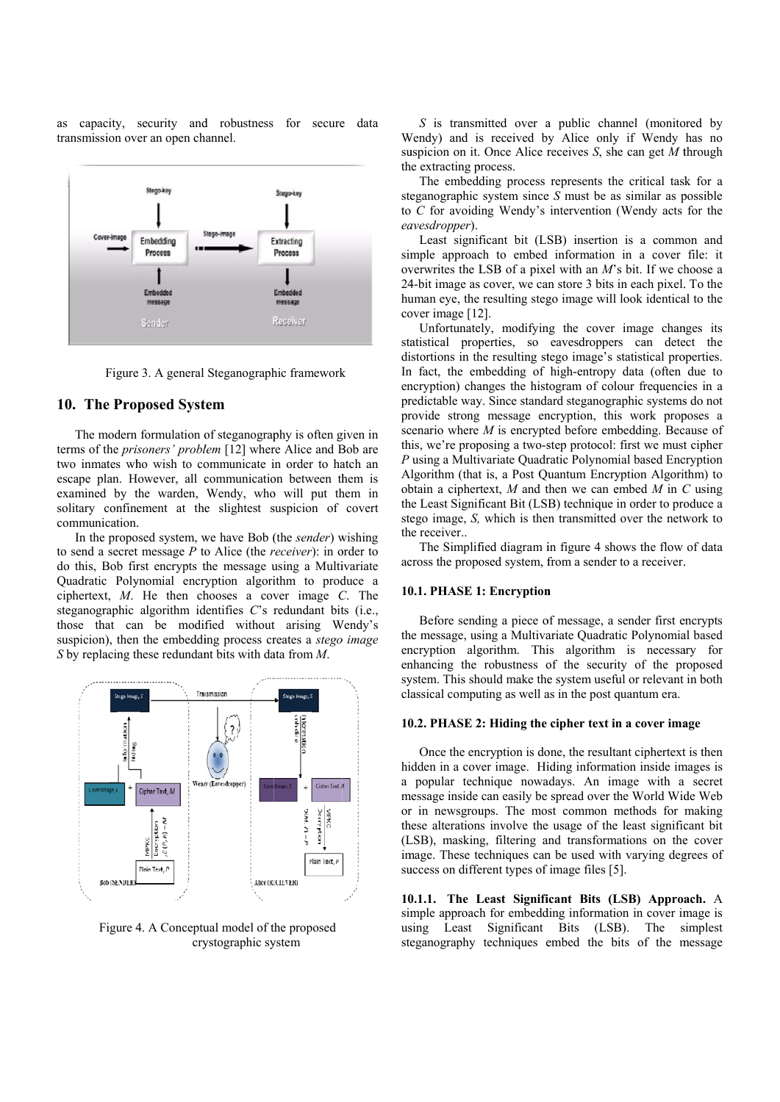as capacity, security and robustness for secure data transmission over an open channel.



Figure 3. A general Steganographic framework

### 10. The Proposed System

The modern formulation of steganography is often given in terms of the prisoners' problem [12] where Alice and Bob are two inmates who wish to communicate in order to hatch an escape plan. However, all communication between them is examined by the warden, Wendy, who will put them in solitary confinement at the slightest suspicion of covert communication.

In the proposed system, we have Bob (the sender) wishing to send a secret message  $P$  to Alice (the *receiver*): in order to do this, Bob first encrypts the message using a Multivariate Quadratic Polynomial encryption algorithm to produce a ciphertext,  $M$ . He then chooses a cover image  $C$ . The steganographic algorithm identifies  $C$ 's redundant bits (i.e., those that can be modified without arising Wendy's suspicion), then the embedding process creates a *stego image* S by replacing these redundant bits with data from  $M$ .



Figure 4. A Conceptual model of the proposed crystographic system

S is transmitted over a public channel (monitored by Wendy) and is received by Alice only if Wendy has no suspicion on it. Once Alice receives  $S$ , she can get  $M$  through the extracting process.

The embedding process represents the critical task for a steganographic system since  $S$  must be as similar as possible to  $C$  for avoiding Wendy's intervention (Wendy acts for the eavesdropper).

Least significant bit (LSB) insertion is a common and simple approach to embed information in a cover file: it overwrites the LSB of a pixel with an  $M$ 's bit. If we choose a 24-bit image as cover, we can store 3 bits in each pixel. To the human eye, the resulting stego image will look identical to the cover image [12].

Unfortunately, modifying the cover image changes its statistical properties, so eavesdroppers can detect the distortions in the resulting stego image's statistical properties. In fact, the embedding of high-entropy data (often due to encryption) changes the histogram of colour frequencies in a predictable way. Since standard steganographic systems do not provide strong message encryption, this work proposes a scenario where  $M$  is encrypted before embedding. Because of this, we're proposing a two-step protocol: first we must cipher P using a Multivariate Quadratic Polynomial based Encryption Algorithm (that is, a Post Quantum Encryption Algorithm) to obtain a ciphertext,  $M$  and then we can embed  $M$  in  $C$  using the Least Significant Bit (LSB) technique in order to produce a stego image, S, which is then transmitted over the network to the receiver...

The Simplified diagram in figure 4 shows the flow of data across the proposed system, from a sender to a receiver.

#### 10.1. PHASE 1: Encryption

Before sending a piece of message, a sender first encrypts the message, using a Multivariate Quadratic Polynomial based encryption algorithm. This algorithm is necessary for enhancing the robustness of the security of the proposed system. This should make the system useful or relevant in both classical computing as well as in the post quantum era.

### 10.2. PHASE 2: Hiding the cipher text in a cover image

Once the encryption is done, the resultant ciphertext is then hidden in a cover image. Hiding information inside images is a popular technique nowadays. An image with a secret message inside can easily be spread over the World Wide Web or in newsgroups. The most common methods for making these alterations involve the usage of the least significant bit (LSB), masking, filtering and transformations on the cover image. These techniques can be used with varying degrees of success on different types of image files [5].

10.1.1. The Least Significant Bits (LSB) Approach. A simple approach for embedding information in cover image is using Least Significant Bits (LSB). The simplest steganography techniques embed the bits of the message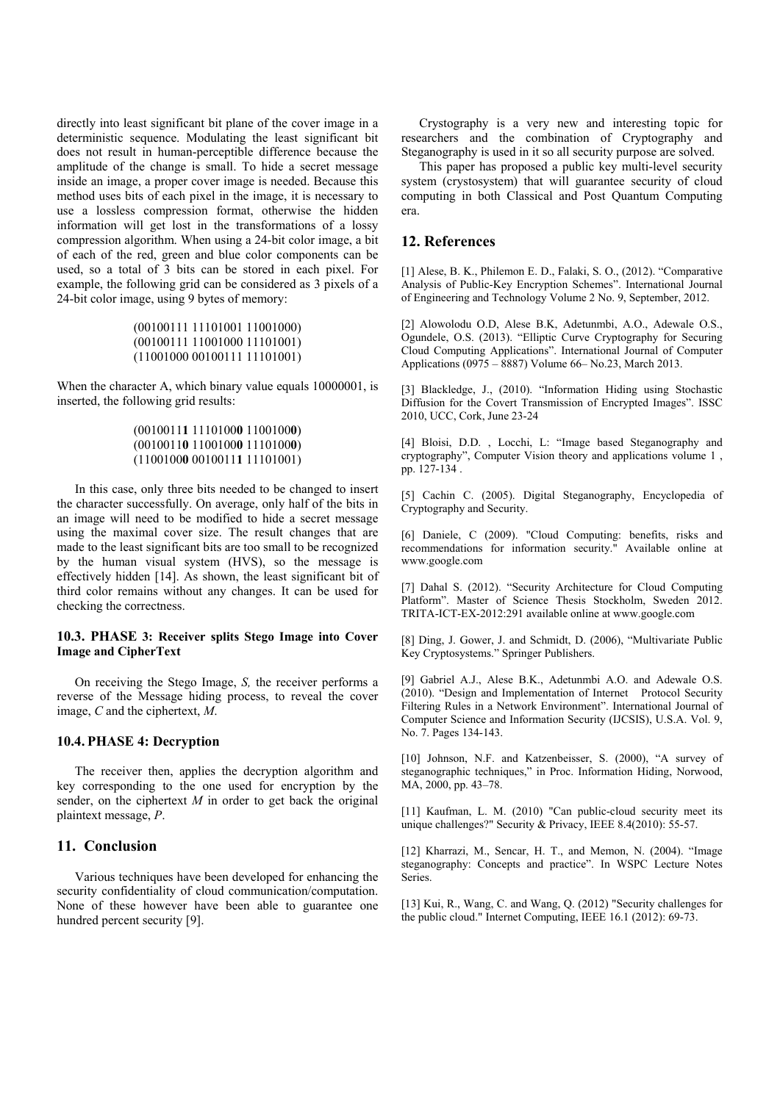directly into least significant bit plane of the cover image in a deterministic sequence. Modulating the least significant bit does not result in human-perceptible difference because the amplitude of the change is small. To hide a secret message inside an image, a proper cover image is needed. Because this method uses bits of each pixel in the image, it is necessary to use a lossless compression format, otherwise the hidden information will get lost in the transformations of a lossy compression algorithm. When using a 24-bit color image, a bit of each of the red, green and blue color components can be used, so a total of 3 bits can be stored in each pixel. For example, the following grid can be considered as 3 pixels of a 24-bit color image, using 9 bytes of memory:

```
(00100111 11101001 11001000) 
(00100111 11001000 11101001) 
(11001000 00100111 11101001)
```
When the character A, which binary value equals 10000001, is inserted, the following grid results:

## (0010011**1** 1110100**0** 1100100**0**) (0010011**0** 1100100**0** 1110100**0**) (1100100**0** 0010011**1** 11101001)

In this case, only three bits needed to be changed to insert the character successfully. On average, only half of the bits in an image will need to be modified to hide a secret message using the maximal cover size. The result changes that are made to the least significant bits are too small to be recognized by the human visual system (HVS), so the message is effectively hidden [14]. As shown, the least significant bit of third color remains without any changes. It can be used for checking the correctness.

## **10.3. PHASE 3: Receiver splits Stego Image into Cover Image and CipherText**

On receiving the Stego Image, *S,* the receiver performs a reverse of the Message hiding process, to reveal the cover image, *C* and the ciphertext, *M*.

#### **10.4. PHASE 4: Decryption**

The receiver then, applies the decryption algorithm and key corresponding to the one used for encryption by the sender, on the ciphertext *M* in order to get back the original plaintext message, *P*.

# **11. Conclusion**

Various techniques have been developed for enhancing the security confidentiality of cloud communication/computation. None of these however have been able to guarantee one hundred percent security [9].

Crystography is a very new and interesting topic for researchers and the combination of Cryptography and Steganography is used in it so all security purpose are solved.

This paper has proposed a public key multi-level security system (crystosystem) that will guarantee security of cloud computing in both Classical and Post Quantum Computing era.

# **12. References**

[1] Alese, B. K., Philemon E. D., Falaki, S. O., (2012). "Comparative Analysis of Public-Key Encryption Schemes". International Journal of Engineering and Technology Volume 2 No. 9, September, 2012.

[2] Alowolodu O.D, Alese B.K, Adetunmbi, A.O., Adewale O.S., Ogundele, O.S. (2013). "Elliptic Curve Cryptography for Securing Cloud Computing Applications". International Journal of Computer Applications (0975 – 8887) Volume 66– No.23, March 2013.

[3] Blackledge, J., (2010). "Information Hiding using Stochastic Diffusion for the Covert Transmission of Encrypted Images". ISSC 2010, UCC, Cork, June 23-24

[4] Bloisi, D.D., Locchi, L: "Image based Steganography and cryptography", Computer Vision theory and applications volume 1 , pp. 127-134 .

[5] Cachin C. (2005). Digital Steganography, Encyclopedia of Cryptography and Security.

[6] Daniele, C (2009). "Cloud Computing: benefits, risks and recommendations for information security." Available online at www.google.com

[7] Dahal S. (2012). "Security Architecture for Cloud Computing Platform". Master of Science Thesis Stockholm, Sweden 2012. TRITA-ICT-EX-2012:291 available online at www.google.com

[8] Ding, J. Gower, J. and Schmidt, D. (2006), "Multivariate Public Key Cryptosystems." Springer Publishers.

[9] Gabriel A.J., Alese B.K., Adetunmbi A.O. and Adewale O.S. (2010). "Design and Implementation of Internet Protocol Security Filtering Rules in a Network Environment". International Journal of Computer Science and Information Security (IJCSIS), U.S.A. Vol. 9, No. 7. Pages 134-143.

[10] Johnson, N.F. and Katzenbeisser, S. (2000), "A survey of steganographic techniques," in Proc. Information Hiding, Norwood, MA, 2000, pp. 43–78.

[11] Kaufman, L. M. (2010) "Can public-cloud security meet its unique challenges?" Security & Privacy, IEEE 8.4(2010): 55-57.

[12] Kharrazi, M., Sencar, H. T., and Memon, N. (2004). "Image steganography: Concepts and practice". In WSPC Lecture Notes Series.

[13] Kui, R., Wang, C. and Wang, Q. (2012) "Security challenges for the public cloud." Internet Computing, IEEE 16.1 (2012): 69-73.